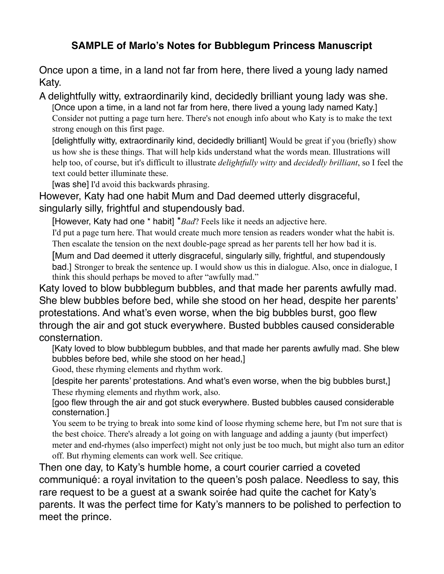## **SAMPLE of Marlo's Notes for Bubblegum Princess Manuscript**

Once upon a time, in a land not far from here, there lived a young lady named Katy.

A delightfully witty, extraordinarily kind, decidedly brilliant young lady was she. [Once upon a time, in a land not far from here, there lived a young lady named Katy.] Consider not putting a page turn here. There's not enough info about who Katy is to make the text strong enough on this first page.

[delightfully witty, extraordinarily kind, decidedly brilliant] Would be great if you (briefly) show us how she is these things. That will help kids understand what the words mean. Illustrations will help too, of course, but it's difficult to illustrate *delightfully witty* and *decidedly brilliant*, so I feel the text could better illuminate these.

[was she] I'd avoid this backwards phrasing.

However, Katy had one habit Mum and Dad deemed utterly disgraceful, singularly silly, frightful and stupendously bad.

[However, Katy had one \* habit] \**Bad*? Feels like it needs an adjective here.

I'd put a page turn here. That would create much more tension as readers wonder what the habit is. Then escalate the tension on the next double-page spread as her parents tell her how bad it is.

[Mum and Dad deemed it utterly disgraceful, singularly silly, frightful, and stupendously bad.] Stronger to break the sentence up. I would show us this in dialogue. Also, once in dialogue, I think this should perhaps be moved to after "awfully mad."

Katy loved to blow bubblegum bubbles, and that made her parents awfully mad. She blew bubbles before bed, while she stood on her head, despite her parents' protestations. And what's even worse, when the big bubbles burst, goo flew through the air and got stuck everywhere. Busted bubbles caused considerable consternation.

[Katy loved to blow bubblegum bubbles, and that made her parents awfully mad. She blew bubbles before bed, while she stood on her head,]

Good, these rhyming elements and rhythm work.

[despite her parents' protestations. And what's even worse, when the big bubbles burst,] These rhyming elements and rhythm work, also.

[goo flew through the air and got stuck everywhere. Busted bubbles caused considerable consternation.]

You seem to be trying to break into some kind of loose rhyming scheme here, but I'm not sure that is the best choice. There's already a lot going on with language and adding a jaunty (but imperfect) meter and end-rhymes (also imperfect) might not only just be too much, but might also turn an editor off. But rhyming elements can work well. See critique.

Then one day, to Katy's humble home, a court courier carried a coveted communiqué: a royal invitation to the queen's posh palace. Needless to say, this rare request to be a guest at a swank soirée had quite the cachet for Katy's parents. It was the perfect time for Katy's manners to be polished to perfection to meet the prince.